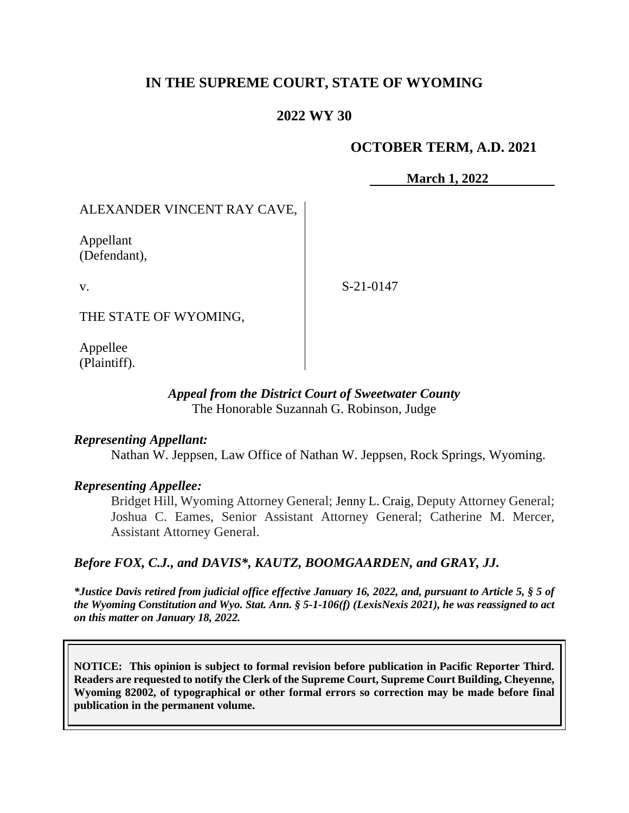# **IN THE SUPREME COURT, STATE OF WYOMING**

## **2022 WY 30**

### **OCTOBER TERM, A.D. 2021**

**March 1, 2022**

# ALEXANDER VINCENT RAY CAVE,

Appellant (Defendant),

v.

S-21-0147

THE STATE OF WYOMING,

Appellee (Plaintiff).

### *Appeal from the District Court of Sweetwater County* The Honorable Suzannah G. Robinson, Judge

### *Representing Appellant:*

Nathan W. Jeppsen, Law Office of Nathan W. Jeppsen, Rock Springs, Wyoming.

## *Representing Appellee:*

Bridget Hill, Wyoming Attorney General; Jenny L. Craig, Deputy Attorney General; Joshua C. Eames, Senior Assistant Attorney General; Catherine M. Mercer, Assistant Attorney General.

### *Before FOX, C.J., and DAVIS\*, KAUTZ, BOOMGAARDEN, and GRAY, JJ.*

*\*Justice Davis retired from judicial office effective January 16, 2022, and, pursuant to Article 5, § 5 of the Wyoming Constitution and Wyo. Stat. Ann. § 5-1-106(f) (LexisNexis 2021), he was reassigned to act on this matter on January 18, 2022.*

**NOTICE: This opinion is subject to formal revision before publication in Pacific Reporter Third. Readers are requested to notify the Clerk of the Supreme Court, Supreme Court Building, Cheyenne, Wyoming 82002, of typographical or other formal errors so correction may be made before final publication in the permanent volume.**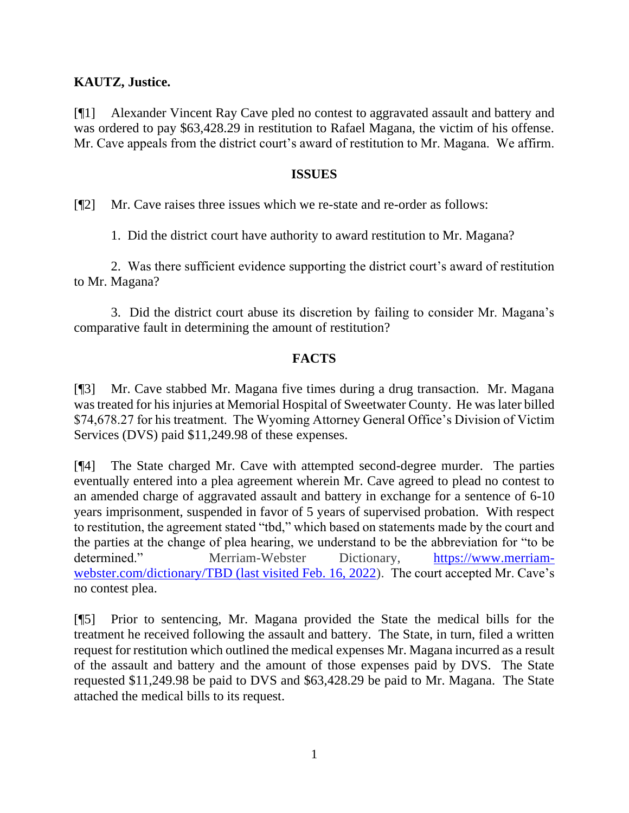## **KAUTZ, Justice.**

[¶1] Alexander Vincent Ray Cave pled no contest to aggravated assault and battery and was ordered to pay \$63,428.29 in restitution to Rafael Magana, the victim of his offense. Mr. Cave appeals from the district court's award of restitution to Mr. Magana. We affirm.

### **ISSUES**

[¶2] Mr. Cave raises three issues which we re-state and re-order as follows:

1. Did the district court have authority to award restitution to Mr. Magana?

2. Was there sufficient evidence supporting the district court's award of restitution to Mr. Magana?

3. Did the district court abuse its discretion by failing to consider Mr. Magana's comparative fault in determining the amount of restitution?

## **FACTS**

[¶3] Mr. Cave stabbed Mr. Magana five times during a drug transaction. Mr. Magana was treated for his injuries at Memorial Hospital of Sweetwater County. He was later billed \$74,678.27 for his treatment. The Wyoming Attorney General Office's Division of Victim Services (DVS) paid \$11,249.98 of these expenses.

[¶4] The State charged Mr. Cave with attempted second-degree murder. The parties eventually entered into a plea agreement wherein Mr. Cave agreed to plead no contest to an amended charge of aggravated assault and battery in exchange for a sentence of 6-10 years imprisonment, suspended in favor of 5 years of supervised probation. With respect to restitution, the agreement stated "tbd," which based on statements made by the court and the parties at the change of plea hearing, we understand to be the abbreviation for "to be determined." Merriam-Webster Dictionary, [https://www.merriam](https://www.merriam-webster.com/dictionary/TBD(last%20accessed%20Feb.%2016,%202022)[webster.com/dictionary/TBD](https://www.merriam-webster.com/dictionary/TBD(last%20accessed%20Feb.%2016,%202022) (last visited Feb. 16, 2022). The court accepted Mr. Cave's no contest plea.

[¶5] Prior to sentencing, Mr. Magana provided the State the medical bills for the treatment he received following the assault and battery. The State, in turn, filed a written request for restitution which outlined the medical expenses Mr. Magana incurred as a result of the assault and battery and the amount of those expenses paid by DVS. The State requested \$11,249.98 be paid to DVS and \$63,428.29 be paid to Mr. Magana. The State attached the medical bills to its request.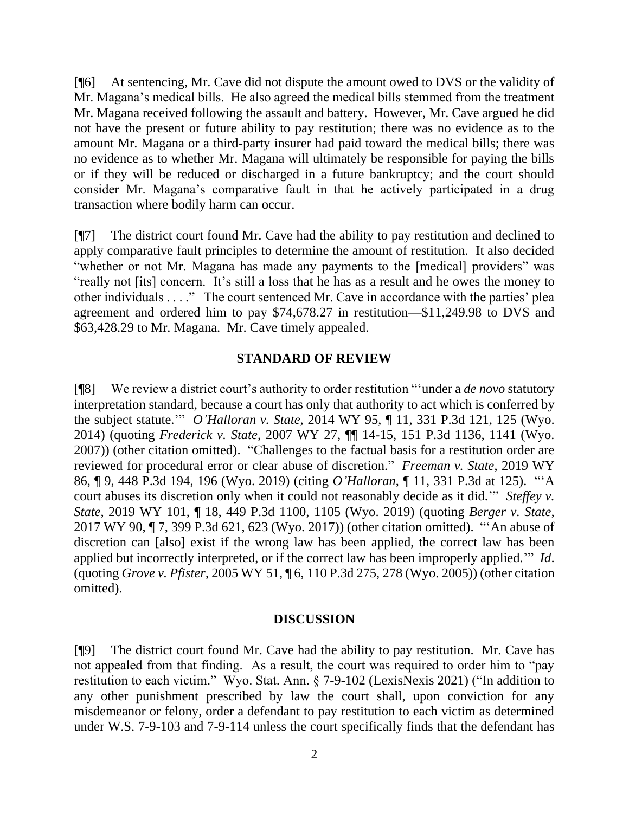[¶6] At sentencing, Mr. Cave did not dispute the amount owed to DVS or the validity of Mr. Magana's medical bills. He also agreed the medical bills stemmed from the treatment Mr. Magana received following the assault and battery. However, Mr. Cave argued he did not have the present or future ability to pay restitution; there was no evidence as to the amount Mr. Magana or a third-party insurer had paid toward the medical bills; there was no evidence as to whether Mr. Magana will ultimately be responsible for paying the bills or if they will be reduced or discharged in a future bankruptcy; and the court should consider Mr. Magana's comparative fault in that he actively participated in a drug transaction where bodily harm can occur.

[¶7] The district court found Mr. Cave had the ability to pay restitution and declined to apply comparative fault principles to determine the amount of restitution. It also decided "whether or not Mr. Magana has made any payments to the [medical] providers" was "really not [its] concern. It's still a loss that he has as a result and he owes the money to other individuals . . . ." The court sentenced Mr. Cave in accordance with the parties' plea agreement and ordered him to pay \$74,678.27 in restitution—\$11,249.98 to DVS and \$63,428.29 to Mr. Magana. Mr. Cave timely appealed.

### **STANDARD OF REVIEW**

[¶8] We review a district court's authority to order restitution "'under a *de novo* statutory interpretation standard, because a court has only that authority to act which is conferred by the subject statute.'" *O'Halloran v. State*, 2014 WY 95, ¶ 11, 331 P.3d 121, 125 (Wyo. 2014) (quoting *Frederick v. State*, 2007 WY 27, ¶¶ 14-15, 151 P.3d 1136, 1141 (Wyo. 2007)) (other citation omitted). "Challenges to the factual basis for a restitution order are reviewed for procedural error or clear abuse of discretion." *Freeman v. State*, 2019 WY 86, ¶ 9, 448 P.3d 194, 196 (Wyo. 2019) (citing *O'Halloran*, ¶ 11, 331 P.3d at 125). "'A court abuses its discretion only when it could not reasonably decide as it did.'" *Steffey v. State*, 2019 WY 101, ¶ 18, 449 P.3d 1100, 1105 (Wyo. 2019) (quoting *Berger v. State*, 2017 WY 90, ¶ 7, 399 P.3d 621, 623 (Wyo. 2017)) (other citation omitted). "'An abuse of discretion can [also] exist if the wrong law has been applied, the correct law has been applied but incorrectly interpreted, or if the correct law has been improperly applied.'" *Id*. (quoting *Grove v. Pfister*, 2005 WY 51, ¶ 6, 110 P.3d 275, 278 (Wyo. 2005)) (other citation omitted).

### **DISCUSSION**

[¶9] The district court found Mr. Cave had the ability to pay restitution. Mr. Cave has not appealed from that finding. As a result, the court was required to order him to "pay restitution to each victim." Wyo. Stat. Ann. § 7-9-102 (LexisNexis 2021) ("In addition to any other punishment prescribed by law the court shall, upon conviction for any misdemeanor or felony, order a defendant to pay restitution to each victim as determined under W.S. 7-9-103 and 7-9-114 unless the court specifically finds that the defendant has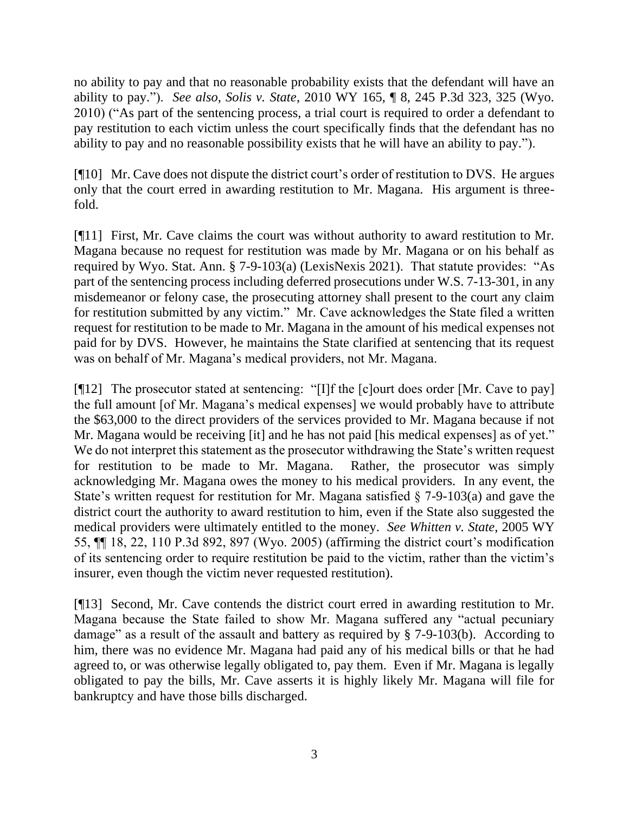no ability to pay and that no reasonable probability exists that the defendant will have an ability to pay."). *See also, Solis v. State*, 2010 WY 165, ¶ 8, 245 P.3d 323, 325 (Wyo. 2010) ("As part of the sentencing process, a trial court is required to order a defendant to pay restitution to each victim unless the court specifically finds that the defendant has no ability to pay and no reasonable possibility exists that he will have an ability to pay.").

[¶10] Mr. Cave does not dispute the district court's order of restitution to DVS. He argues only that the court erred in awarding restitution to Mr. Magana. His argument is threefold.

[¶11] First, Mr. Cave claims the court was without authority to award restitution to Mr. Magana because no request for restitution was made by Mr. Magana or on his behalf as required by Wyo. Stat. Ann. § 7-9-103(a) (LexisNexis 2021). That statute provides: "As part of the sentencing process including deferred prosecutions under W.S. 7-13-301, in any misdemeanor or felony case, the prosecuting attorney shall present to the court any claim for restitution submitted by any victim." Mr. Cave acknowledges the State filed a written request for restitution to be made to Mr. Magana in the amount of his medical expenses not paid for by DVS. However, he maintains the State clarified at sentencing that its request was on behalf of Mr. Magana's medical providers, not Mr. Magana.

[¶12] The prosecutor stated at sentencing: "[I]f the [c]ourt does order [Mr. Cave to pay] the full amount [of Mr. Magana's medical expenses] we would probably have to attribute the \$63,000 to the direct providers of the services provided to Mr. Magana because if not Mr. Magana would be receiving [it] and he has not paid [his medical expenses] as of yet." We do not interpret this statement as the prosecutor withdrawing the State's written request for restitution to be made to Mr. Magana. Rather, the prosecutor was simply acknowledging Mr. Magana owes the money to his medical providers. In any event, the State's written request for restitution for Mr. Magana satisfied  $\S$  7-9-103(a) and gave the district court the authority to award restitution to him, even if the State also suggested the medical providers were ultimately entitled to the money. *See Whitten v. State*, 2005 WY 55, ¶¶ 18, 22, 110 P.3d 892, 897 (Wyo. 2005) (affirming the district court's modification of its sentencing order to require restitution be paid to the victim, rather than the victim's insurer, even though the victim never requested restitution).

[¶13] Second, Mr. Cave contends the district court erred in awarding restitution to Mr. Magana because the State failed to show Mr. Magana suffered any "actual pecuniary damage" as a result of the assault and battery as required by § 7-9-103(b). According to him, there was no evidence Mr. Magana had paid any of his medical bills or that he had agreed to, or was otherwise legally obligated to, pay them. Even if Mr. Magana is legally obligated to pay the bills, Mr. Cave asserts it is highly likely Mr. Magana will file for bankruptcy and have those bills discharged.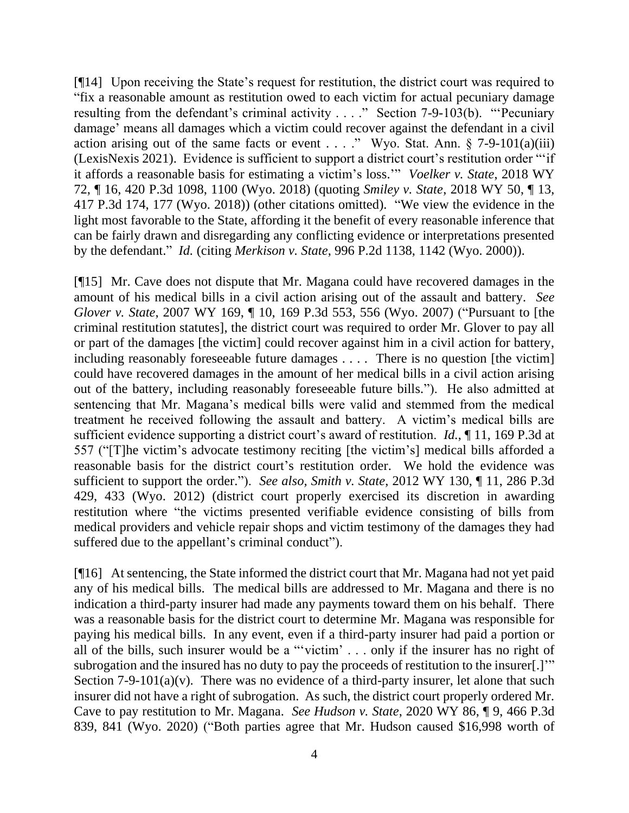[¶14] Upon receiving the State's request for restitution, the district court was required to "fix a reasonable amount as restitution owed to each victim for actual pecuniary damage resulting from the defendant's criminal activity . . . ." Section 7-9-103(b). "'Pecuniary damage' means all damages which a victim could recover against the defendant in a civil action arising out of the same facts or event . . . ." Wyo. Stat. Ann.  $\S$  7-9-101(a)(iii) (LexisNexis 2021). Evidence is sufficient to support a district court's restitution order "'if it affords a reasonable basis for estimating a victim's loss.'" *Voelker v. State*, 2018 WY 72, ¶ 16, 420 P.3d 1098, 1100 (Wyo. 2018) (quoting *Smiley v. State*, 2018 WY 50, ¶ 13, 417 P.3d 174, 177 (Wyo. 2018)) (other citations omitted). "We view the evidence in the light most favorable to the State, affording it the benefit of every reasonable inference that can be fairly drawn and disregarding any conflicting evidence or interpretations presented by the defendant." *Id.* (citing *Merkison v. State*, 996 P.2d 1138, 1142 (Wyo. 2000)).

[¶15] Mr. Cave does not dispute that Mr. Magana could have recovered damages in the amount of his medical bills in a civil action arising out of the assault and battery. *See Glover v. State*, 2007 WY 169, ¶ 10, 169 P.3d 553, 556 (Wyo. 2007) ("Pursuant to [the criminal restitution statutes], the district court was required to order Mr. Glover to pay all or part of the damages [the victim] could recover against him in a civil action for battery, including reasonably foreseeable future damages . . . . There is no question [the victim] could have recovered damages in the amount of her medical bills in a civil action arising out of the battery, including reasonably foreseeable future bills."). He also admitted at sentencing that Mr. Magana's medical bills were valid and stemmed from the medical treatment he received following the assault and battery. A victim's medical bills are sufficient evidence supporting a district court's award of restitution. *Id.*, ¶ 11, 169 P.3d at 557 ("[T]he victim's advocate testimony reciting [the victim's] medical bills afforded a reasonable basis for the district court's restitution order. We hold the evidence was sufficient to support the order."). *See also, Smith v. State*, 2012 WY 130, ¶ 11, 286 P.3d 429, 433 (Wyo. 2012) (district court properly exercised its discretion in awarding restitution where "the victims presented verifiable evidence consisting of bills from medical providers and vehicle repair shops and victim testimony of the damages they had suffered due to the appellant's criminal conduct").

[¶16] At sentencing, the State informed the district court that Mr. Magana had not yet paid any of his medical bills. The medical bills are addressed to Mr. Magana and there is no indication a third-party insurer had made any payments toward them on his behalf. There was a reasonable basis for the district court to determine Mr. Magana was responsible for paying his medical bills. In any event, even if a third-party insurer had paid a portion or all of the bills, such insurer would be a "'victim' . . . only if the insurer has no right of subrogation and the insured has no duty to pay the proceeds of restitution to the insurer[.]'" Section 7-9-101(a)(v). There was no evidence of a third-party insurer, let alone that such insurer did not have a right of subrogation. As such, the district court properly ordered Mr. Cave to pay restitution to Mr. Magana. *See Hudson v. State*, 2020 WY 86, ¶ 9, 466 P.3d 839, 841 (Wyo. 2020) ("Both parties agree that Mr. Hudson caused \$16,998 worth of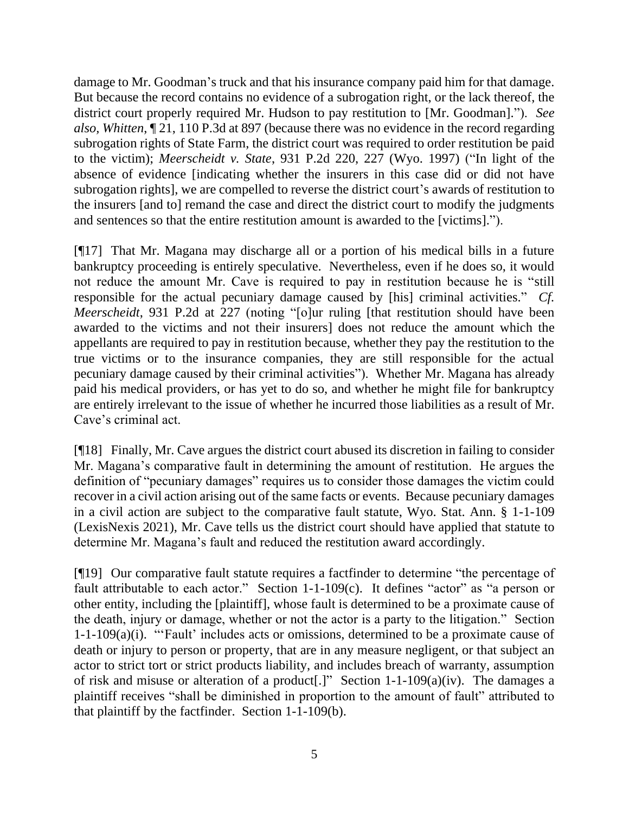damage to Mr. Goodman's truck and that his insurance company paid him for that damage. But because the record contains no evidence of a subrogation right, or the lack thereof, the district court properly required Mr. Hudson to pay restitution to [Mr. Goodman]."). *See also, Whitten*, ¶ 21, 110 P.3d at 897 (because there was no evidence in the record regarding subrogation rights of State Farm, the district court was required to order restitution be paid to the victim); *Meerscheidt v. State*, 931 P.2d 220, 227 (Wyo. 1997) ("In light of the absence of evidence [indicating whether the insurers in this case did or did not have subrogation rights], we are compelled to reverse the district court's awards of restitution to the insurers [and to] remand the case and direct the district court to modify the judgments and sentences so that the entire restitution amount is awarded to the [victims].").

[¶17] That Mr. Magana may discharge all or a portion of his medical bills in a future bankruptcy proceeding is entirely speculative. Nevertheless, even if he does so, it would not reduce the amount Mr. Cave is required to pay in restitution because he is "still responsible for the actual pecuniary damage caused by [his] criminal activities." *Cf. Meerscheidt*, 931 P.2d at 227 (noting "[o]ur ruling [that restitution should have been awarded to the victims and not their insurers] does not reduce the amount which the appellants are required to pay in restitution because, whether they pay the restitution to the true victims or to the insurance companies, they are still responsible for the actual pecuniary damage caused by their criminal activities"). Whether Mr. Magana has already paid his medical providers, or has yet to do so, and whether he might file for bankruptcy are entirely irrelevant to the issue of whether he incurred those liabilities as a result of Mr. Cave's criminal act.

[¶18] Finally, Mr. Cave argues the district court abused its discretion in failing to consider Mr. Magana's comparative fault in determining the amount of restitution. He argues the definition of "pecuniary damages" requires us to consider those damages the victim could recover in a civil action arising out of the same facts or events. Because pecuniary damages in a civil action are subject to the comparative fault statute, Wyo. Stat. Ann. § 1-1-109 (LexisNexis 2021), Mr. Cave tells us the district court should have applied that statute to determine Mr. Magana's fault and reduced the restitution award accordingly.

[¶19] Our comparative fault statute requires a factfinder to determine "the percentage of fault attributable to each actor." Section 1-1-109(c). It defines "actor" as "a person or other entity, including the [plaintiff], whose fault is determined to be a proximate cause of the death, injury or damage, whether or not the actor is a party to the litigation." Section 1-1-109(a)(i). "'Fault' includes acts or omissions, determined to be a proximate cause of death or injury to person or property, that are in any measure negligent, or that subject an actor to strict tort or strict products liability, and includes breach of warranty, assumption of risk and misuse or alteration of a product[.]" Section 1-1-109(a)(iv). The damages a plaintiff receives "shall be diminished in proportion to the amount of fault" attributed to that plaintiff by the factfinder. Section 1-1-109(b).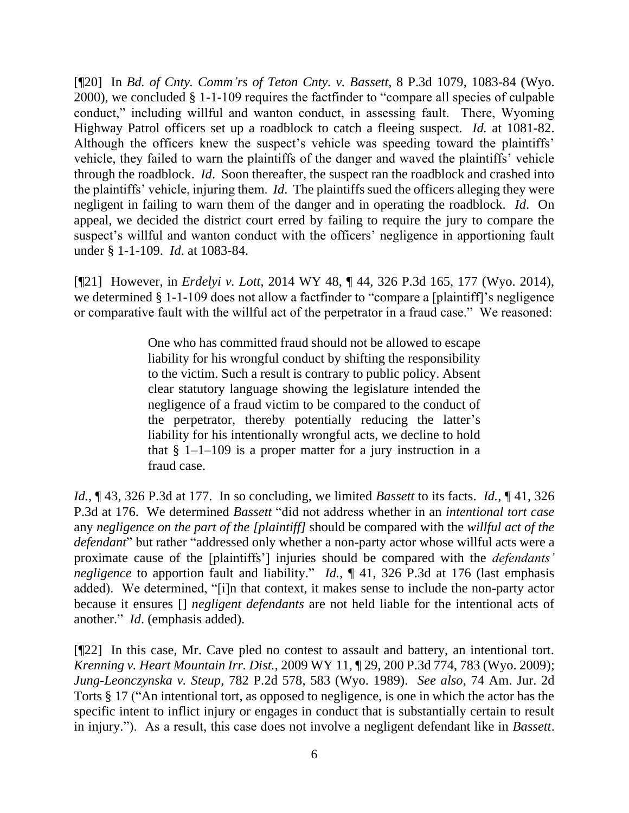[¶20] In *Bd. of Cnty. Comm'rs of Teton Cnty. v. Bassett*, 8 P.3d 1079, 1083-84 (Wyo. 2000), we concluded § 1-1-109 requires the factfinder to "compare all species of culpable conduct," including willful and wanton conduct, in assessing fault. There, Wyoming Highway Patrol officers set up a roadblock to catch a fleeing suspect. *Id.* at 1081-82. Although the officers knew the suspect's vehicle was speeding toward the plaintiffs' vehicle, they failed to warn the plaintiffs of the danger and waved the plaintiffs' vehicle through the roadblock. *Id*. Soon thereafter, the suspect ran the roadblock and crashed into the plaintiffs' vehicle, injuring them. *Id*. The plaintiffs sued the officers alleging they were negligent in failing to warn them of the danger and in operating the roadblock. *Id*. On appeal, we decided the district court erred by failing to require the jury to compare the suspect's willful and wanton conduct with the officers' negligence in apportioning fault under § 1-1-109. *Id*. at 1083-84.

[¶21] However, in *Erdelyi v. Lott*, 2014 WY 48, ¶ 44, 326 P.3d 165, 177 (Wyo. 2014), we determined § 1-1-109 does not allow a factfinder to "compare a [plaintiff]'s negligence or comparative fault with the willful act of the perpetrator in a fraud case." We reasoned:

> One who has committed fraud should not be allowed to escape liability for his wrongful conduct by shifting the responsibility to the victim. Such a result is contrary to public policy. Absent clear statutory language showing the legislature intended the negligence of a fraud victim to be compared to the conduct of the perpetrator, thereby potentially reducing the latter's liability for his intentionally wrongful acts, we decline to hold that  $\S$  1–1–109 is a proper matter for a jury instruction in a fraud case.

*Id.*, ¶ 43, 326 P.3d at 177. In so concluding, we limited *Bassett* to its facts. *Id.*, ¶ 41, 326 P.3d at 176. We determined *Bassett* "did not address whether in an *intentional tort case*  any *negligence on the part of the [plaintiff]* should be compared with the *willful act of the defendant*" but rather "addressed only whether a non-party actor whose willful acts were a proximate cause of the [plaintiffs'] injuries should be compared with the *defendants' negligence* to apportion fault and liability." *Id.*, ¶ 41, 326 P.3d at 176 (last emphasis added). We determined, "[i]n that context, it makes sense to include the non-party actor because it ensures [] *negligent defendants* are not held liable for the intentional acts of another." *Id*. (emphasis added).

[¶22] In this case, Mr. Cave pled no contest to assault and battery, an intentional tort. *Krenning v. Heart Mountain Irr. Dist.*, 2009 WY 11, ¶ 29, 200 P.3d 774, 783 (Wyo. 2009); *Jung-Leonczynska v. Steup*, 782 P.2d 578, 583 (Wyo. 1989). *See also*, 74 Am. Jur. 2d Torts § 17 ("An intentional tort, as opposed to negligence, is one in which the actor has the specific intent to inflict injury or engages in conduct that is substantially certain to result in injury."). As a result, this case does not involve a negligent defendant like in *Bassett*.